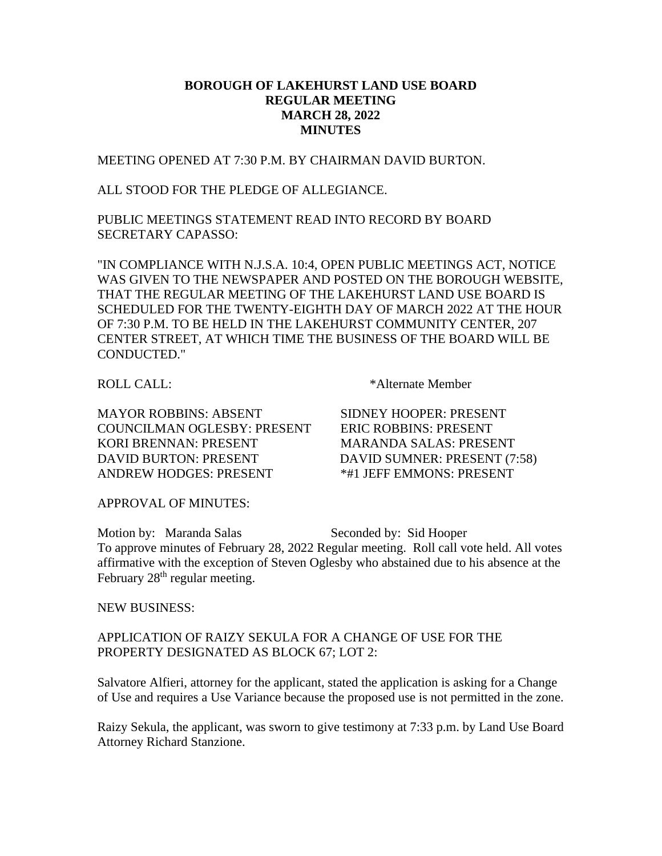## **BOROUGH OF LAKEHURST LAND USE BOARD REGULAR MEETING MARCH 28, 2022 MINUTES**

MEETING OPENED AT 7:30 P.M. BY CHAIRMAN DAVID BURTON.

ALL STOOD FOR THE PLEDGE OF ALLEGIANCE.

PUBLIC MEETINGS STATEMENT READ INTO RECORD BY BOARD SECRETARY CAPASSO:

"IN COMPLIANCE WITH N.J.S.A. 10:4, OPEN PUBLIC MEETINGS ACT, NOTICE WAS GIVEN TO THE NEWSPAPER AND POSTED ON THE BOROUGH WEBSITE, THAT THE REGULAR MEETING OF THE LAKEHURST LAND USE BOARD IS SCHEDULED FOR THE TWENTY-EIGHTH DAY OF MARCH 2022 AT THE HOUR OF 7:30 P.M. TO BE HELD IN THE LAKEHURST COMMUNITY CENTER, 207 CENTER STREET, AT WHICH TIME THE BUSINESS OF THE BOARD WILL BE CONDUCTED."

MAYOR ROBBINS: ABSENT SIDNEY HOOPER: PRESENT COUNCILMAN OGLESBY: PRESENT ERIC ROBBINS: PRESENT KORI BRENNAN: PRESENT MARANDA SALAS: PRESENT

ROLL CALL: \* \* Alternate Member

DAVID BURTON: PRESENT DAVID SUMNER: PRESENT (7:58) ANDREW HODGES: PRESENT \*\*\* 1 JEFF EMMONS: PRESENT

APPROVAL OF MINUTES:

Motion by: Maranda Salas Seconded by: Sid Hooper To approve minutes of February 28, 2022 Regular meeting. Roll call vote held. All votes affirmative with the exception of Steven Oglesby who abstained due to his absence at the February 28<sup>th</sup> regular meeting.

NEW BUSINESS:

APPLICATION OF RAIZY SEKULA FOR A CHANGE OF USE FOR THE PROPERTY DESIGNATED AS BLOCK 67; LOT 2:

Salvatore Alfieri, attorney for the applicant, stated the application is asking for a Change of Use and requires a Use Variance because the proposed use is not permitted in the zone.

Raizy Sekula, the applicant, was sworn to give testimony at 7:33 p.m. by Land Use Board Attorney Richard Stanzione.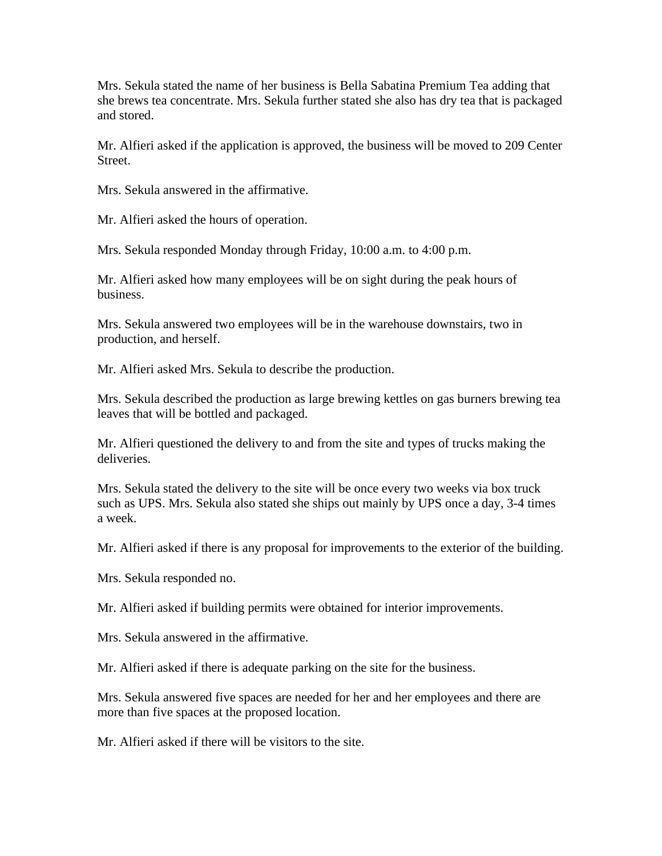Mrs. Sekula stated the name of her business is Bella Sabatina Premium Tea adding that she brews tea concentrate. Mrs. Sekula further stated she also has dry tea that is packaged and stored.

Mr. Alfieri asked if the application is approved, the business will be moved to 209 Center Street.

Mrs. Sekula answered in the affirmative.

Mr. Alfieri asked the hours of operation.

Mrs. Sekula responded Monday through Friday, 10:00 a.m. to 4:00 p.m.

Mr. Alfieri asked how many employees will be on sight during the peak hours of business.

Mrs. Sekula answered two employees will be in the warehouse downstairs, two in production, and herself.

Mr. Alfieri asked Mrs. Sekula to describe the production.

Mrs. Sekula described the production as large brewing kettles on gas burners brewing tea leaves that will be bottled and packaged.

Mr. Alfieri questioned the delivery to and from the site and types of trucks making the deliveries.

Mrs. Sekula stated the delivery to the site will be once every two weeks via box truck such as UPS. Mrs. Sekula also stated she ships out mainly by UPS once a day, 3-4 times a week.

Mr. Alfieri asked if there is any proposal for improvements to the exterior of the building.

Mrs. Sekula responded no.

Mr. Alfieri asked if building permits were obtained for interior improvements.

Mrs. Sekula answered in the affirmative.

Mr. Alfieri asked if there is adequate parking on the site for the business.

Mrs. Sekula answered five spaces are needed for her and her employees and there are more than five spaces at the proposed location.

Mr. Alfieri asked if there will be visitors to the site.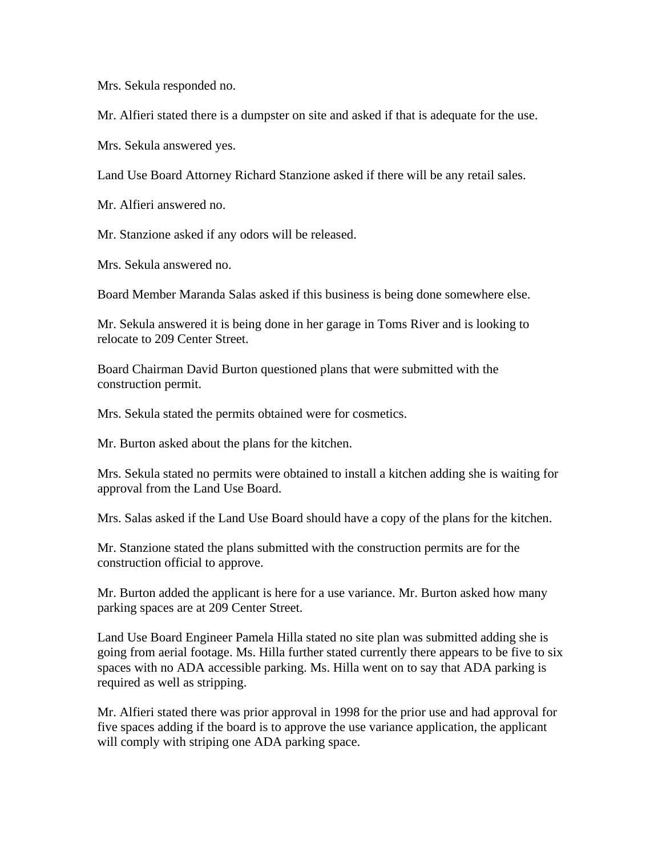Mrs. Sekula responded no.

Mr. Alfieri stated there is a dumpster on site and asked if that is adequate for the use.

Mrs. Sekula answered yes.

Land Use Board Attorney Richard Stanzione asked if there will be any retail sales.

Mr. Alfieri answered no.

Mr. Stanzione asked if any odors will be released.

Mrs. Sekula answered no.

Board Member Maranda Salas asked if this business is being done somewhere else.

Mr. Sekula answered it is being done in her garage in Toms River and is looking to relocate to 209 Center Street.

Board Chairman David Burton questioned plans that were submitted with the construction permit.

Mrs. Sekula stated the permits obtained were for cosmetics.

Mr. Burton asked about the plans for the kitchen.

Mrs. Sekula stated no permits were obtained to install a kitchen adding she is waiting for approval from the Land Use Board.

Mrs. Salas asked if the Land Use Board should have a copy of the plans for the kitchen.

Mr. Stanzione stated the plans submitted with the construction permits are for the construction official to approve.

Mr. Burton added the applicant is here for a use variance. Mr. Burton asked how many parking spaces are at 209 Center Street.

Land Use Board Engineer Pamela Hilla stated no site plan was submitted adding she is going from aerial footage. Ms. Hilla further stated currently there appears to be five to six spaces with no ADA accessible parking. Ms. Hilla went on to say that ADA parking is required as well as stripping.

Mr. Alfieri stated there was prior approval in 1998 for the prior use and had approval for five spaces adding if the board is to approve the use variance application, the applicant will comply with striping one ADA parking space.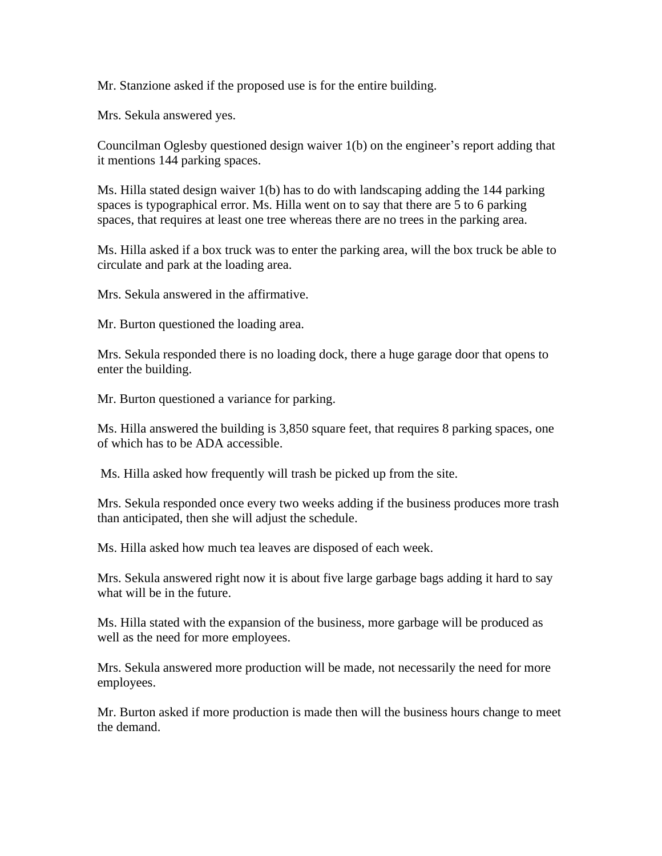Mr. Stanzione asked if the proposed use is for the entire building.

Mrs. Sekula answered yes.

Councilman Oglesby questioned design waiver 1(b) on the engineer's report adding that it mentions 144 parking spaces.

Ms. Hilla stated design waiver 1(b) has to do with landscaping adding the 144 parking spaces is typographical error. Ms. Hilla went on to say that there are 5 to 6 parking spaces, that requires at least one tree whereas there are no trees in the parking area.

Ms. Hilla asked if a box truck was to enter the parking area, will the box truck be able to circulate and park at the loading area.

Mrs. Sekula answered in the affirmative.

Mr. Burton questioned the loading area.

Mrs. Sekula responded there is no loading dock, there a huge garage door that opens to enter the building.

Mr. Burton questioned a variance for parking.

Ms. Hilla answered the building is 3,850 square feet, that requires 8 parking spaces, one of which has to be ADA accessible.

Ms. Hilla asked how frequently will trash be picked up from the site.

Mrs. Sekula responded once every two weeks adding if the business produces more trash than anticipated, then she will adjust the schedule.

Ms. Hilla asked how much tea leaves are disposed of each week.

Mrs. Sekula answered right now it is about five large garbage bags adding it hard to say what will be in the future.

Ms. Hilla stated with the expansion of the business, more garbage will be produced as well as the need for more employees.

Mrs. Sekula answered more production will be made, not necessarily the need for more employees.

Mr. Burton asked if more production is made then will the business hours change to meet the demand.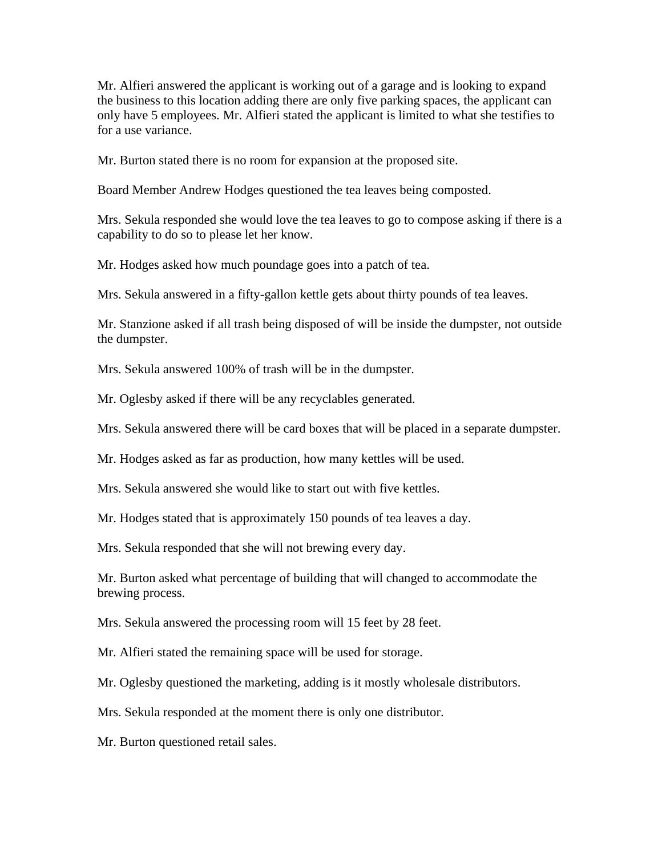Mr. Alfieri answered the applicant is working out of a garage and is looking to expand the business to this location adding there are only five parking spaces, the applicant can only have 5 employees. Mr. Alfieri stated the applicant is limited to what she testifies to for a use variance.

Mr. Burton stated there is no room for expansion at the proposed site.

Board Member Andrew Hodges questioned the tea leaves being composted.

Mrs. Sekula responded she would love the tea leaves to go to compose asking if there is a capability to do so to please let her know.

Mr. Hodges asked how much poundage goes into a patch of tea.

Mrs. Sekula answered in a fifty-gallon kettle gets about thirty pounds of tea leaves.

Mr. Stanzione asked if all trash being disposed of will be inside the dumpster, not outside the dumpster.

Mrs. Sekula answered 100% of trash will be in the dumpster.

Mr. Oglesby asked if there will be any recyclables generated.

Mrs. Sekula answered there will be card boxes that will be placed in a separate dumpster.

Mr. Hodges asked as far as production, how many kettles will be used.

Mrs. Sekula answered she would like to start out with five kettles.

Mr. Hodges stated that is approximately 150 pounds of tea leaves a day.

Mrs. Sekula responded that she will not brewing every day.

Mr. Burton asked what percentage of building that will changed to accommodate the brewing process.

Mrs. Sekula answered the processing room will 15 feet by 28 feet.

Mr. Alfieri stated the remaining space will be used for storage.

Mr. Oglesby questioned the marketing, adding is it mostly wholesale distributors.

Mrs. Sekula responded at the moment there is only one distributor.

Mr. Burton questioned retail sales.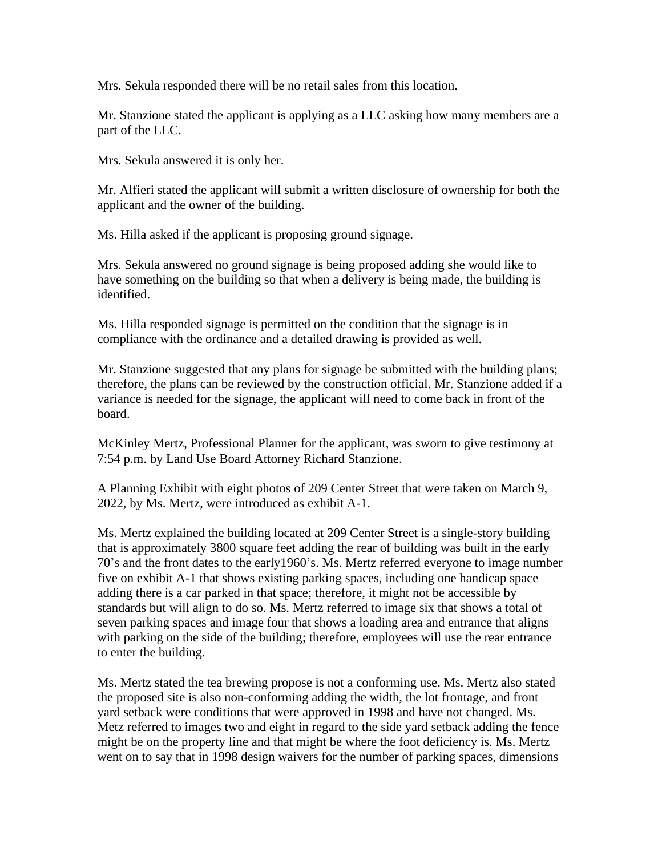Mrs. Sekula responded there will be no retail sales from this location.

Mr. Stanzione stated the applicant is applying as a LLC asking how many members are a part of the LLC.

Mrs. Sekula answered it is only her.

Mr. Alfieri stated the applicant will submit a written disclosure of ownership for both the applicant and the owner of the building.

Ms. Hilla asked if the applicant is proposing ground signage.

Mrs. Sekula answered no ground signage is being proposed adding she would like to have something on the building so that when a delivery is being made, the building is identified.

Ms. Hilla responded signage is permitted on the condition that the signage is in compliance with the ordinance and a detailed drawing is provided as well.

Mr. Stanzione suggested that any plans for signage be submitted with the building plans; therefore, the plans can be reviewed by the construction official. Mr. Stanzione added if a variance is needed for the signage, the applicant will need to come back in front of the board.

McKinley Mertz, Professional Planner for the applicant, was sworn to give testimony at 7:54 p.m. by Land Use Board Attorney Richard Stanzione.

A Planning Exhibit with eight photos of 209 Center Street that were taken on March 9, 2022, by Ms. Mertz, were introduced as exhibit A-1.

Ms. Mertz explained the building located at 209 Center Street is a single-story building that is approximately 3800 square feet adding the rear of building was built in the early 70's and the front dates to the early1960's. Ms. Mertz referred everyone to image number five on exhibit A-1 that shows existing parking spaces, including one handicap space adding there is a car parked in that space; therefore, it might not be accessible by standards but will align to do so. Ms. Mertz referred to image six that shows a total of seven parking spaces and image four that shows a loading area and entrance that aligns with parking on the side of the building; therefore, employees will use the rear entrance to enter the building.

Ms. Mertz stated the tea brewing propose is not a conforming use. Ms. Mertz also stated the proposed site is also non-conforming adding the width, the lot frontage, and front yard setback were conditions that were approved in 1998 and have not changed. Ms. Metz referred to images two and eight in regard to the side yard setback adding the fence might be on the property line and that might be where the foot deficiency is. Ms. Mertz went on to say that in 1998 design waivers for the number of parking spaces, dimensions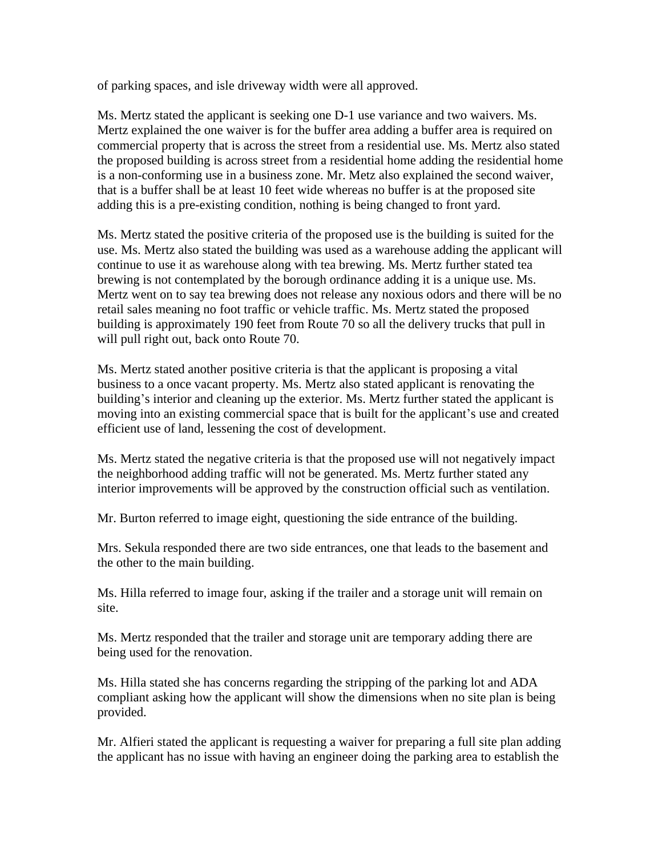of parking spaces, and isle driveway width were all approved.

Ms. Mertz stated the applicant is seeking one D-1 use variance and two waivers. Ms. Mertz explained the one waiver is for the buffer area adding a buffer area is required on commercial property that is across the street from a residential use. Ms. Mertz also stated the proposed building is across street from a residential home adding the residential home is a non-conforming use in a business zone. Mr. Metz also explained the second waiver, that is a buffer shall be at least 10 feet wide whereas no buffer is at the proposed site adding this is a pre-existing condition, nothing is being changed to front yard.

Ms. Mertz stated the positive criteria of the proposed use is the building is suited for the use. Ms. Mertz also stated the building was used as a warehouse adding the applicant will continue to use it as warehouse along with tea brewing. Ms. Mertz further stated tea brewing is not contemplated by the borough ordinance adding it is a unique use. Ms. Mertz went on to say tea brewing does not release any noxious odors and there will be no retail sales meaning no foot traffic or vehicle traffic. Ms. Mertz stated the proposed building is approximately 190 feet from Route 70 so all the delivery trucks that pull in will pull right out, back onto Route 70.

Ms. Mertz stated another positive criteria is that the applicant is proposing a vital business to a once vacant property. Ms. Mertz also stated applicant is renovating the building's interior and cleaning up the exterior. Ms. Mertz further stated the applicant is moving into an existing commercial space that is built for the applicant's use and created efficient use of land, lessening the cost of development.

Ms. Mertz stated the negative criteria is that the proposed use will not negatively impact the neighborhood adding traffic will not be generated. Ms. Mertz further stated any interior improvements will be approved by the construction official such as ventilation.

Mr. Burton referred to image eight, questioning the side entrance of the building.

Mrs. Sekula responded there are two side entrances, one that leads to the basement and the other to the main building.

Ms. Hilla referred to image four, asking if the trailer and a storage unit will remain on site.

Ms. Mertz responded that the trailer and storage unit are temporary adding there are being used for the renovation.

Ms. Hilla stated she has concerns regarding the stripping of the parking lot and ADA compliant asking how the applicant will show the dimensions when no site plan is being provided.

Mr. Alfieri stated the applicant is requesting a waiver for preparing a full site plan adding the applicant has no issue with having an engineer doing the parking area to establish the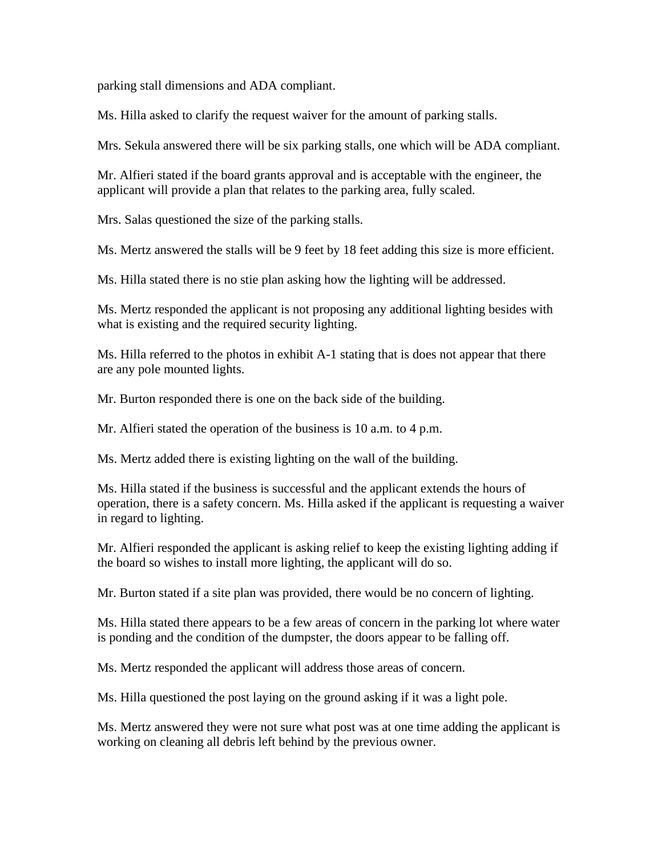parking stall dimensions and ADA compliant.

Ms. Hilla asked to clarify the request waiver for the amount of parking stalls.

Mrs. Sekula answered there will be six parking stalls, one which will be ADA compliant.

Mr. Alfieri stated if the board grants approval and is acceptable with the engineer, the applicant will provide a plan that relates to the parking area, fully scaled.

Mrs. Salas questioned the size of the parking stalls.

Ms. Mertz answered the stalls will be 9 feet by 18 feet adding this size is more efficient.

Ms. Hilla stated there is no stie plan asking how the lighting will be addressed.

Ms. Mertz responded the applicant is not proposing any additional lighting besides with what is existing and the required security lighting.

Ms. Hilla referred to the photos in exhibit A-1 stating that is does not appear that there are any pole mounted lights.

Mr. Burton responded there is one on the back side of the building.

Mr. Alfieri stated the operation of the business is 10 a.m. to 4 p.m.

Ms. Mertz added there is existing lighting on the wall of the building.

Ms. Hilla stated if the business is successful and the applicant extends the hours of operation, there is a safety concern. Ms. Hilla asked if the applicant is requesting a waiver in regard to lighting.

Mr. Alfieri responded the applicant is asking relief to keep the existing lighting adding if the board so wishes to install more lighting, the applicant will do so.

Mr. Burton stated if a site plan was provided, there would be no concern of lighting.

Ms. Hilla stated there appears to be a few areas of concern in the parking lot where water is ponding and the condition of the dumpster, the doors appear to be falling off.

Ms. Mertz responded the applicant will address those areas of concern.

Ms. Hilla questioned the post laying on the ground asking if it was a light pole.

Ms. Mertz answered they were not sure what post was at one time adding the applicant is working on cleaning all debris left behind by the previous owner.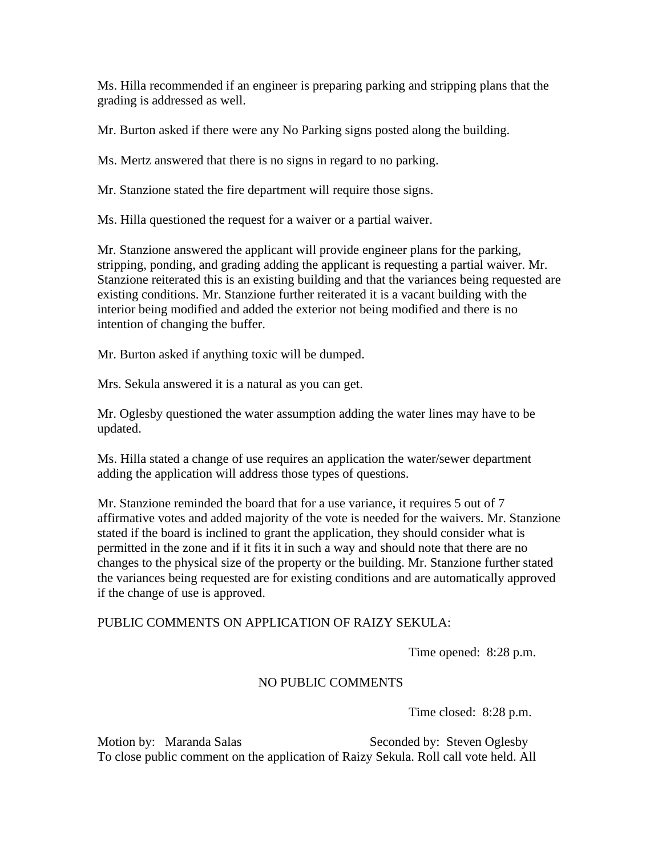Ms. Hilla recommended if an engineer is preparing parking and stripping plans that the grading is addressed as well.

Mr. Burton asked if there were any No Parking signs posted along the building.

Ms. Mertz answered that there is no signs in regard to no parking.

Mr. Stanzione stated the fire department will require those signs.

Ms. Hilla questioned the request for a waiver or a partial waiver.

Mr. Stanzione answered the applicant will provide engineer plans for the parking, stripping, ponding, and grading adding the applicant is requesting a partial waiver. Mr. Stanzione reiterated this is an existing building and that the variances being requested are existing conditions. Mr. Stanzione further reiterated it is a vacant building with the interior being modified and added the exterior not being modified and there is no intention of changing the buffer.

Mr. Burton asked if anything toxic will be dumped.

Mrs. Sekula answered it is a natural as you can get.

Mr. Oglesby questioned the water assumption adding the water lines may have to be updated.

Ms. Hilla stated a change of use requires an application the water/sewer department adding the application will address those types of questions.

Mr. Stanzione reminded the board that for a use variance, it requires 5 out of 7 affirmative votes and added majority of the vote is needed for the waivers. Mr. Stanzione stated if the board is inclined to grant the application, they should consider what is permitted in the zone and if it fits it in such a way and should note that there are no changes to the physical size of the property or the building. Mr. Stanzione further stated the variances being requested are for existing conditions and are automatically approved if the change of use is approved.

## PUBLIC COMMENTS ON APPLICATION OF RAIZY SEKULA:

Time opened: 8:28 p.m.

## NO PUBLIC COMMENTS

Time closed: 8:28 p.m.

Motion by: Maranda Salas Seconded by: Steven Oglesby To close public comment on the application of Raizy Sekula. Roll call vote held. All